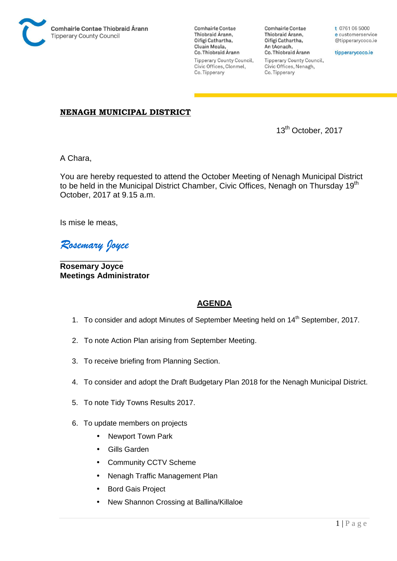

**Comhairle Contae** Thiobraid Árann, Oifigí Cathartha, Cluain Meala, Co. Thiobraid Árann **Tipperary County Council,** Civic Offices, Clonmel, Co. Tipperary

**Comhairle Contae** Thiobraid Árann, Oifigí Cathartha, An tAonach, Co. Thiobraid Árann **Tipperary County Council,** Civic Offices, Nenagh, Co. Tipperary

t 0761 06 5000 e customerservice @tipperarycoco.ie

tipperarycoco.ie

#### **NENAGH MUNICIPAL DISTRICT**

13th October, 2017

A Chara,

You are hereby requested to attend the October Meeting of Nenagh Municipal District to be held in the Municipal District Chamber, Civic Offices, Nenagh on Thursday 19<sup>th</sup> October, 2017 at 9.15 a.m.

Is mise le meas,

*Rosemary Joyce* 

\_\_\_\_\_\_\_\_\_\_\_\_\_\_ **Rosemary Joyce Meetings Administrator** 

### **AGENDA**

- 1. To consider and adopt Minutes of September Meeting held on 14<sup>th</sup> September, 2017.
- 2. To note Action Plan arising from September Meeting.
- 3. To receive briefing from Planning Section.
- 4. To consider and adopt the Draft Budgetary Plan 2018 for the Nenagh Municipal District.
- 5. To note Tidy Towns Results 2017.
- 6. To update members on projects
	- Newport Town Park
	- Gills Garden
	- Community CCTV Scheme
	- Nenagh Traffic Management Plan
	- Bord Gais Project
	- New Shannon Crossing at Ballina/Killaloe